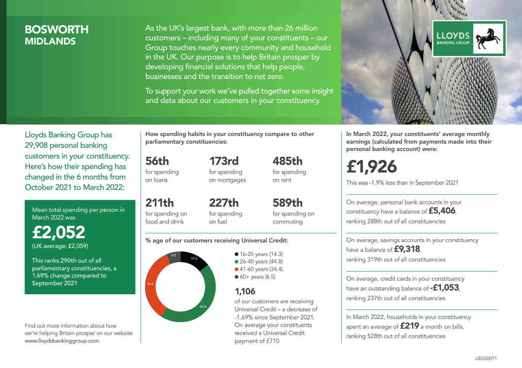# **BOSWORTH MIDI ANDS**

As the UK's largest bank, with more than 26 million customers – including many of your constituents – our Group touches nearly every community and household in the UK. Our purpose is to help Britain prosper by developing financial solutions that help people, businesses and the transition to net zero.

To support your work we've pulled together some insight and data about our customers in your constituency.



Mean total spending per person in March 2022 was

£2,052 (UK average: £2,059)

This ranks 290th out of all parliamentary constituencies, a 1.69% change compared to September 2021

Find out more information about how we're helping Britain prosper on our website www.lloydsbankinggroup.com

How spending habits in your constituency compare to other parliamentary constituencies:

173rd

56th for spending on loans

211th

for spending on mortgages 485th for spending on rent

for spending on food and drink 227th for spending on fuel

589th for spending on commuting

#### % age of our customers receiving Universal Credit:



• 16-25 years (14.3) • 26-40 years (44.8) ● 41-60 years (34.4)  $60+$  years (6.5)

# 1,106

of our customers are receiving Universal Credit – a decrease of -1.69% since September 2021. On average your constituents received a Universal Credit payment of £710



In March 2022, your constituents' average monthly earnings (calculated from payments made into their personal banking account) were:

# £1,926

This was -1.9% less than in September 2021

On average, personal bank accounts in your constituency have a balance of £5,406, ranking 288th out of all constituencies

On average, savings accounts in your constituency have a balance of **£9,318**, ranking 319th out of all constituencies

On average, credit cards in your constituency have an outstanding balance of **-£1,053** ranking 237th out of all constituencies

In March 2022, households in your constituency spent an average of **£219** a month on bills, ranking 528th out of all constituencies